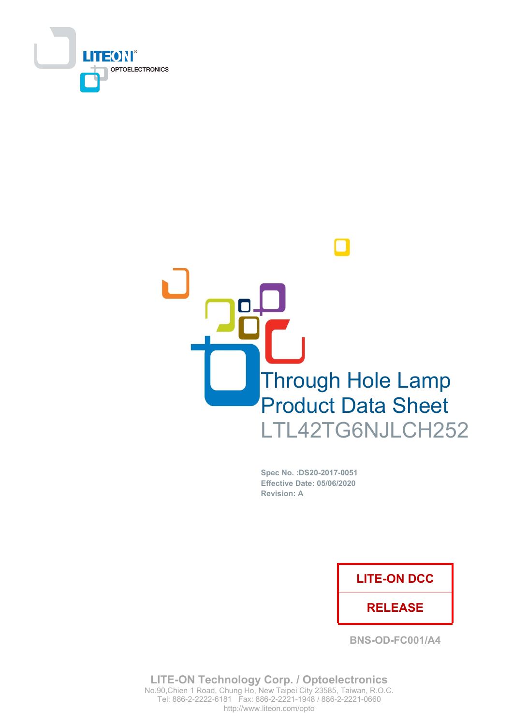



Spec No. : DS20-2017-0051 **Effective Date: 05/06/2020 Revision: A** 

# **LITE-ON DCC**

## **RELEASE**

**BNS-OD-FC001/A4** 

**LITE-ON Technology Corp. / Optoelectronics** No.90, Chien 1 Road, Chung Ho, New Taipei City 23585, Taiwan, R.O.C. Tel: 886-2-2222-6181 Fax: 886-2-2221-1948 / 886-2-2221-0660 http://www.liteon.com/opto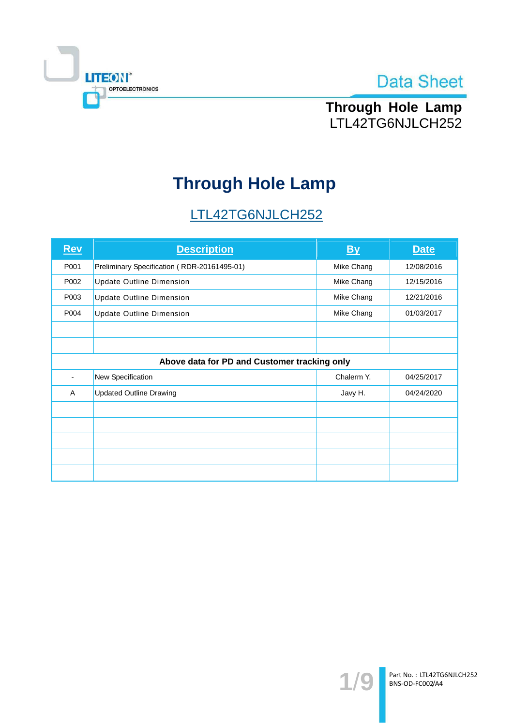



Through Hole Lamp LTL42TG6NJLCH252

# **Through Hole Lamp**

# LTL42TG6NJLCH252

| <b>Rev</b>                                   | <b>Description</b>                          | <b>By</b>  | <b>Date</b> |  |  |  |
|----------------------------------------------|---------------------------------------------|------------|-------------|--|--|--|
| P001                                         | Preliminary Specification (RDR-20161495-01) | Mike Chang | 12/08/2016  |  |  |  |
| P002                                         | <b>Update Outline Dimension</b>             | Mike Chang | 12/15/2016  |  |  |  |
| P003                                         | <b>Update Outline Dimension</b>             | Mike Chang | 12/21/2016  |  |  |  |
| P004                                         | <b>Update Outline Dimension</b>             | Mike Chang | 01/03/2017  |  |  |  |
|                                              |                                             |            |             |  |  |  |
|                                              |                                             |            |             |  |  |  |
| Above data for PD and Customer tracking only |                                             |            |             |  |  |  |
|                                              | New Specification                           | Chalerm Y. | 04/25/2017  |  |  |  |
| A                                            | <b>Updated Outline Drawing</b>              | Javy H.    | 04/24/2020  |  |  |  |
|                                              |                                             |            |             |  |  |  |
|                                              |                                             |            |             |  |  |  |
|                                              |                                             |            |             |  |  |  |
|                                              |                                             |            |             |  |  |  |
|                                              |                                             |            |             |  |  |  |

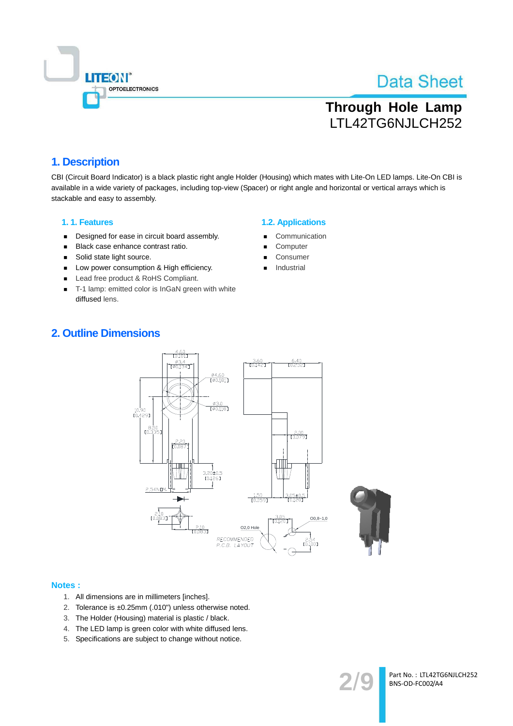

Part No.: LTL42TG6NJLCH252

BNS-OD-FC002/A4

# **Through Hole Lamp** LTL42TG6NJLCH252

## 1. Description

CBI (Circuit Board Indicator) is a black plastic right angle Holder (Housing) which mates with Lite-On LED lamps. Lite-On CBI is available in a wide variety of packages, including top-view (Spacer) or right angle and horizontal or vertical arrays which is stackable and easy to assembly.

#### 1.1. Features

- Designed for ease in circuit board assembly.  $\blacksquare$
- Black case enhance contrast ratio.  $\blacksquare$
- Solid state light source.  $\blacksquare$
- Low power consumption & High efficiency.  $\blacksquare$
- Lead free product & RoHS Compliant.
- T-1 lamp: emitted color is InGaN green with white  $\blacksquare$ diffused lens.

## **1.2. Applications**

- Communication
- Computer
- Consumer
- Industrial

## **2. Outline Dimensions**



#### **Notes:**

- 1. All dimensions are in millimeters [inches].
- 2. Tolerance is ±0.25mm (.010") unless otherwise noted.
- 3. The Holder (Housing) material is plastic / black.
- 4. The LED lamp is green color with white diffused lens.
- 5. Specifications are subject to change without notice.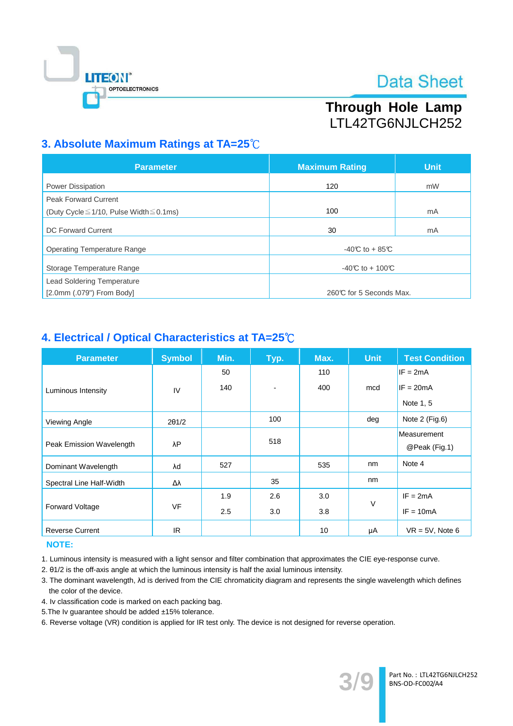

# Through Hole Lamp LTL42TG6NJLCH252

# 3. Absolute Maximum Ratings at TA=25°C

| <b>Parameter</b>                                   | <b>Maximum Rating</b>   | <b>Unit</b> |  |
|----------------------------------------------------|-------------------------|-------------|--|
| <b>Power Dissipation</b>                           | 120                     | mW          |  |
| <b>Peak Forward Current</b>                        |                         |             |  |
| (Duty Cycle $\leq$ 1/10, Pulse Width $\leq$ 0.1ms) | 100                     | mA          |  |
| <b>DC Forward Current</b>                          | 30                      | mA          |  |
| <b>Operating Temperature Range</b>                 | $-40C$ to + 85°C        |             |  |
| Storage Temperature Range                          | -40°C to + 100°C        |             |  |
| <b>Lead Soldering Temperature</b>                  |                         |             |  |
| [2.0mm (.079") From Body]                          | 260℃ for 5 Seconds Max. |             |  |

## 4. Electrical / Optical Characteristics at TA=25°C

| <b>Parameter</b>         | <b>Symbol</b> | Min. | Typ.                     | Max. | <b>Unit</b> | <b>Test Condition</b> |
|--------------------------|---------------|------|--------------------------|------|-------------|-----------------------|
|                          |               | 50   |                          | 110  |             | $IF = 2mA$            |
| Luminous Intensity       | IV            | 140  | $\overline{\phantom{a}}$ | 400  | mcd         | $IF = 20mA$           |
|                          |               |      |                          |      |             | Note 1, 5             |
| Viewing Angle            | $2\theta$ 1/2 |      | 100                      |      | deg         | Note 2 (Fig.6)        |
|                          |               |      | 518                      |      |             | Measurement           |
| Peak Emission Wavelength | λP            |      |                          |      |             | @Peak (Fig.1)         |
| Dominant Wavelength      | λd            | 527  |                          | 535  | nm          | Note 4                |
| Spectral Line Half-Width | Δλ            |      | 35                       |      | nm          |                       |
|                          |               | 1.9  | 2.6                      | 3.0  | V           | $IF = 2mA$            |
| <b>Forward Voltage</b>   | <b>VF</b>     | 2.5  | 3.0                      | 3.8  |             | $IF = 10mA$           |
| <b>Reverse Current</b>   | IR.           |      |                          | 10   | μA          | $VR = 5V$ , Note 6    |

#### **NOTE:**

1. Luminous intensity is measured with a light sensor and filter combination that approximates the CIE eye-response curve.

2. 01/2 is the off-axis angle at which the luminous intensity is half the axial luminous intensity.

3. The dominant wavelength, Ad is derived from the CIE chromaticity diagram and represents the single wavelength which defines the color of the device.

- 4. Iv classification code is marked on each packing bag.
- 5. The Iv guarantee should be added ±15% tolerance.

6. Reverse voltage (VR) condition is applied for IR test only. The device is not designed for reverse operation.

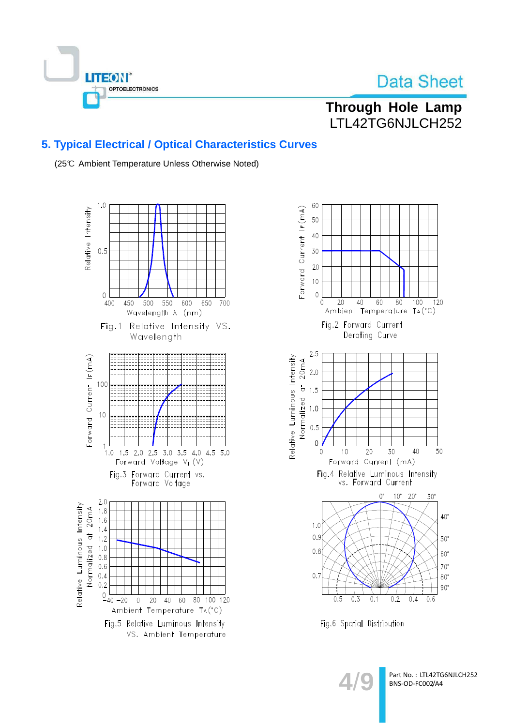

# Through Hole Lamp LTL42TG6NJLCH252

## **5. Typical Electrical / Optical Characteristics Curves**

(25℃ Ambient Temperature Unless Otherwise Noted)





Fig.6 Spatial Distribution

Part No.: LTL42TG6NJLCH252 BNS-OD-FC002/A4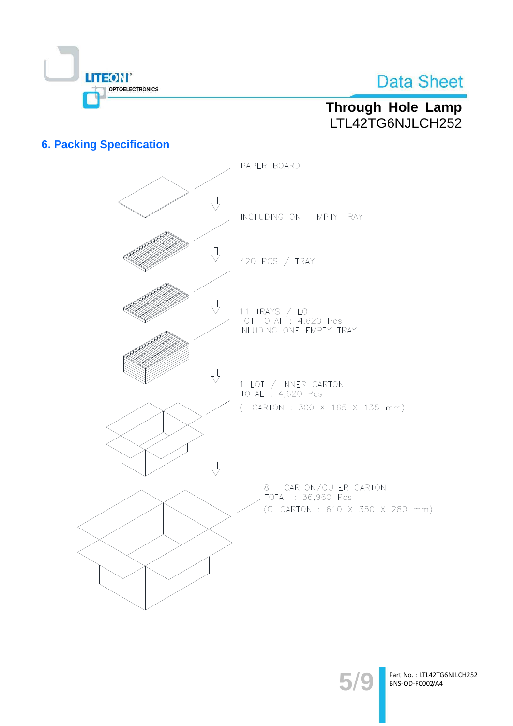

# Through Hole Lamp LTL42TG6NJLCH252

## **6. Packing Specification**



Part No.: LTL42TG6NJLCH252 BNS-OD-FC002/A4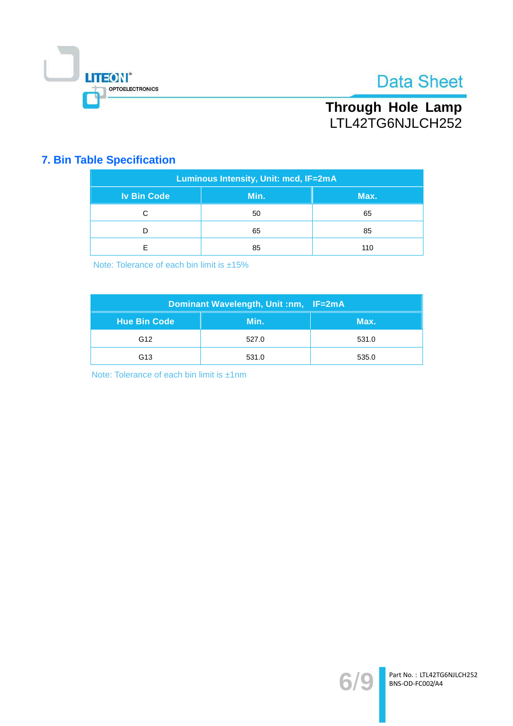

# Through Hole Lamp<br>LTL42TG6NJLCH252

# **7. Bin Table Specification**

| Luminous Intensity, Unit: mcd, IF=2mA |      |      |  |  |  |
|---------------------------------------|------|------|--|--|--|
| <b>Iv Bin Code</b>                    | Min. | Max. |  |  |  |
| С                                     | 50   | 65   |  |  |  |
|                                       | 65   | 85   |  |  |  |
| F                                     | 85   | 110  |  |  |  |

Note: Tolerance of each bin limit is ±15%

| Dominant Wavelength, Unit :nm, IF=2mA |       |       |  |  |
|---------------------------------------|-------|-------|--|--|
| <b>Hue Bin Code</b>                   | Min.  | Max.  |  |  |
| G <sub>12</sub>                       | 527.0 | 531.0 |  |  |
| G <sub>13</sub>                       | 531.0 | 535.0 |  |  |

Note: Tolerance of each bin limit is ±1nm

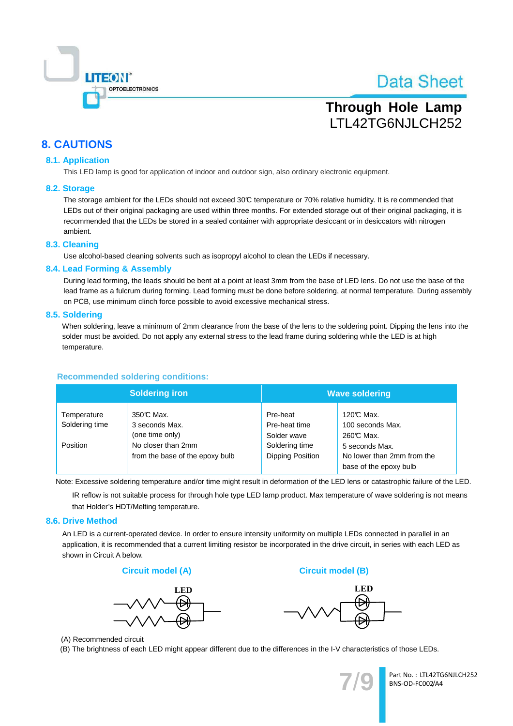

# **Through Hole Lamp** LTL42TG6NJLCH252

## **8. CAUTIONS**

### **8.1. Application**

This LED lamp is good for application of indoor and outdoor sign, also ordinary electronic equipment.

#### 8.2. Storage

The storage ambient for the LEDs should not exceed 30°C temperature or 70% relative humidity. It is recommended that LEDs out of their original packaging are used within three months. For extended storage out of their original packaging, it is recommended that the LEDs be stored in a sealed container with appropriate desiccant or in desiccators with nitrogen ambient.

#### 8.3. Cleaning

Use alcohol-based cleaning solvents such as isopropyl alcohol to clean the LEDs if necessary.

#### 8.4. Lead Forming & Assembly

During lead forming, the leads should be bent at a point at least 3mm from the base of LED lens. Do not use the base of the lead frame as a fulcrum during forming. Lead forming must be done before soldering, at normal temperature. During assembly on PCB, use minimum clinch force possible to avoid excessive mechanical stress.

#### 8.5. Soldering

When soldering, leave a minimum of 2mm clearance from the base of the lens to the soldering point. Dipping the lens into the solder must be avoided. Do not apply any external stress to the lead frame during soldering while the LED is at high temperature.

## **Recommended soldering conditions:**

|                               | <b>Soldering iron</b>                                 | <b>Wave soldering</b>                    |                                                                        |  |
|-------------------------------|-------------------------------------------------------|------------------------------------------|------------------------------------------------------------------------|--|
| Temperature<br>Soldering time | 350℃ Max.<br>3 seconds Max.<br>(one time only)        | Pre-heat<br>Pre-heat time<br>Solder wave | 120℃ Max.<br>100 seconds Max.<br>260℃ Max.                             |  |
| Position                      | No closer than 2mm<br>from the base of the epoxy bulb | Soldering time<br>Dipping Position       | 5 seconds Max.<br>No lower than 2mm from the<br>base of the epoxy bulb |  |

Note: Excessive soldering temperature and/or time might result in deformation of the LED lens or catastrophic failure of the LED.

IR reflow is not suitable process for through hole type LED lamp product. Max temperature of wave soldering is not means that Holder's HDT/Melting temperature.

#### 8.6. Drive Method

An LED is a current-operated device. In order to ensure intensity uniformity on multiple LEDs connected in parallel in an application, it is recommended that a current limiting resistor be incorporated in the drive circuit, in series with each LED as shown in Circuit A below.

#### **Circuit model (A)**





**Circuit model (B)** 

(A) Recommended circuit

(B) The brightness of each LED might appear different due to the differences in the I-V characteristics of those LEDs.



Part No.: LTL42TG6NJLCH252 BNS-OD-FC002/A4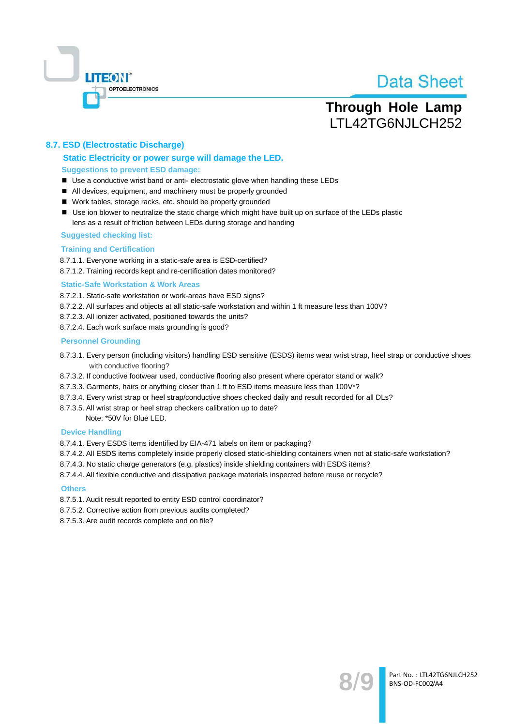

# **Through Hole Lamp** LTL42TG6NJLCH252

## 8.7. ESD (Electrostatic Discharge)

## Static Electricity or power surge will damage the LED. **Suggestions to prevent ESD damage:**

- Use a conductive wrist band or anti- electrostatic glove when handling these LEDs
- All devices, equipment, and machinery must be properly grounded
- Work tables, storage racks, etc. should be properly grounded
- Use ion blower to neutralize the static charge which might have built up on surface of the LEDs plastic lens as a result of friction between LEDs during storage and handing

#### **Suggested checking list:**

#### **Training and Certification**

8.7.1.1. Everyone working in a static-safe area is ESD-certified?

8.7.1.2. Training records kept and re-certification dates monitored?

#### **Static-Safe Workstation & Work Areas**

8.7.2.1. Static-safe workstation or work-areas have ESD signs?

- 8.7.2.2. All surfaces and objects at all static-safe workstation and within 1 ft measure less than 100V?
- 8.7.2.3. All ionizer activated, positioned towards the units?
- 8.7.2.4. Each work surface mats grounding is good?

#### **Personnel Grounding**

- 8.7.3.1. Every person (including visitors) handling ESD sensitive (ESDS) items wear wrist strap, heel strap or conductive shoes with conductive flooring?
- 8.7.3.2. If conductive footwear used, conductive flooring also present where operator stand or walk?
- 8.7.3.3. Garments, hairs or anything closer than 1 ft to ESD items measure less than 100V\*?
- 8.7.3.4. Every wrist strap or heel strap/conductive shoes checked daily and result recorded for all DLs?
- 8.7.3.5. All wrist strap or heel strap checkers calibration up to date?

Note: \*50V for Blue LED.

#### **Device Handling**

8.7.4.1. Every ESDS items identified by EIA-471 labels on item or packaging?

- 8.7.4.2. All ESDS items completely inside properly closed static-shielding containers when not at static-safe workstation?
- 8.7.4.3. No static charge generators (e.g. plastics) inside shielding containers with ESDS items?
- 8.7.4.4. All flexible conductive and dissipative package materials inspected before reuse or recycle?

#### **Others**

- 8.7.5.1. Audit result reported to entity ESD control coordinator?
- 8.7.5.2. Corrective action from previous audits completed?
- 8.7.5.3. Are audit records complete and on file?